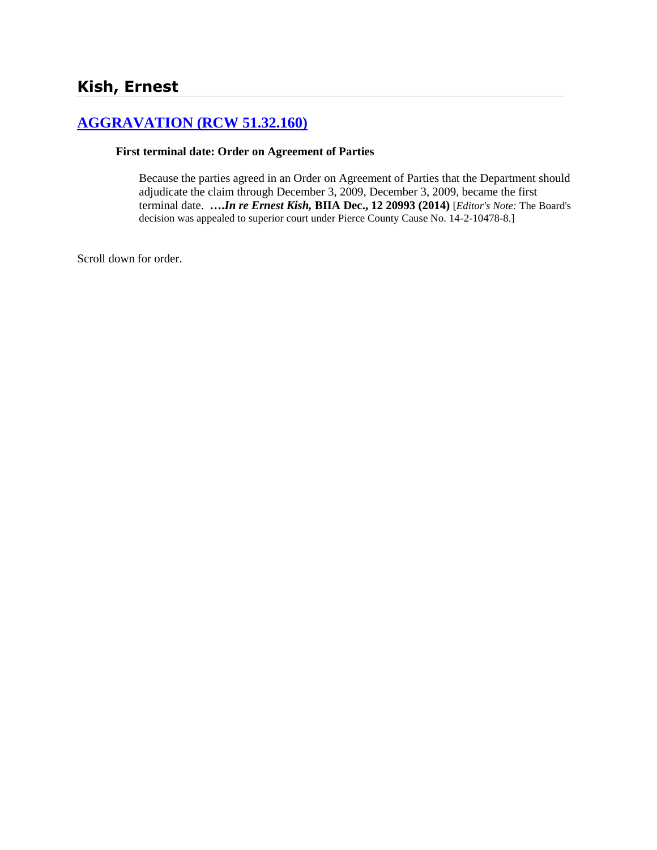# **[AGGRAVATION \(RCW 51.32.160\)](http://www.biia.wa.gov/SDSubjectIndex.html#AGGRAVATION)**

#### **First terminal date: Order on Agreement of Parties**

Because the parties agreed in an Order on Agreement of Parties that the Department should adjudicate the claim through December 3, 2009, December 3, 2009, became the first terminal date. **….***In re Ernest Kish,* **BIIA Dec., 12 20993 (2014)** [*Editor's Note:* The Board's decision was appealed to superior court under Pierce County Cause No. 14-2-10478-8.]

Scroll down for order.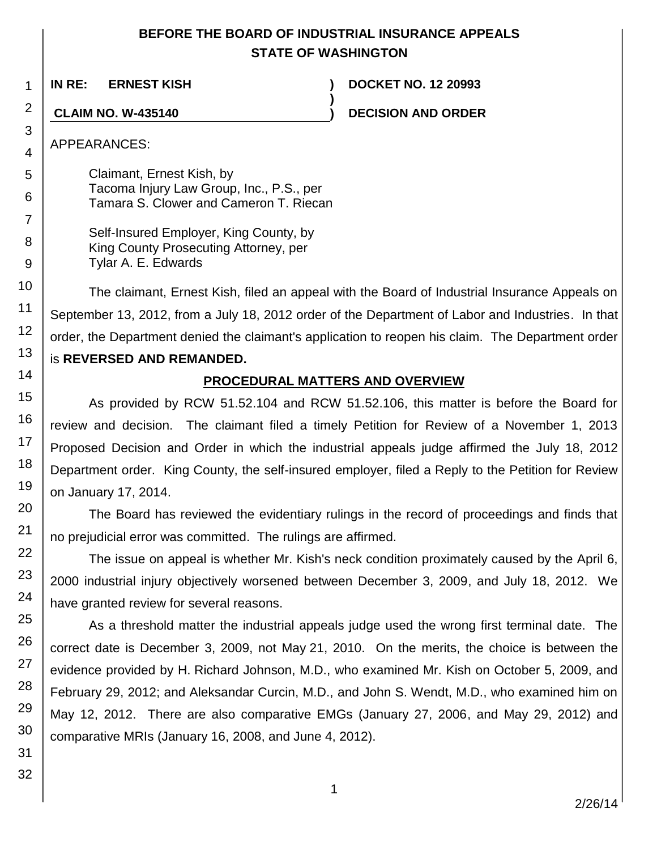### **BEFORE THE BOARD OF INDUSTRIAL INSURANCE APPEALS STATE OF WASHINGTON**

**)**

**IN RE: ERNEST KISH ) DOCKET NO. 12 20993**

**CLAIM NO. W-435140 ) DECISION AND ORDER**

APPEARANCES:

Claimant, Ernest Kish, by Tacoma Injury Law Group, Inc., P.S., per Tamara S. Clower and Cameron T. Riecan

| Self-Insured Employer, King County, by |
|----------------------------------------|
| King County Prosecuting Attorney, per  |
| Tylar A. E. Edwards                    |

The claimant, Ernest Kish, filed an appeal with the Board of Industrial Insurance Appeals on September 13, 2012, from a July 18, 2012 order of the Department of Labor and Industries. In that order, the Department denied the claimant's application to reopen his claim. The Department order is **REVERSED AND REMANDED.**

## **PROCEDURAL MATTERS AND OVERVIEW**

As provided by RCW 51.52.104 and RCW 51.52.106, this matter is before the Board for review and decision. The claimant filed a timely Petition for Review of a November 1, 2013 Proposed Decision and Order in which the industrial appeals judge affirmed the July 18, 2012 Department order. King County, the self-insured employer, filed a Reply to the Petition for Review on January 17, 2014.

The Board has reviewed the evidentiary rulings in the record of proceedings and finds that no prejudicial error was committed. The rulings are affirmed.

The issue on appeal is whether Mr. Kish's neck condition proximately caused by the April 6, 2000 industrial injury objectively worsened between December 3, 2009, and July 18, 2012. We have granted review for several reasons.

As a threshold matter the industrial appeals judge used the wrong first terminal date. The correct date is December 3, 2009, not May 21, 2010. On the merits, the choice is between the evidence provided by H. Richard Johnson, M.D., who examined Mr. Kish on October 5, 2009, and February 29, 2012; and Aleksandar Curcin, M.D., and John S. Wendt, M.D., who examined him on May 12, 2012. There are also comparative EMGs (January 27, 2006, and May 29, 2012) and comparative MRIs (January 16, 2008, and June 4, 2012).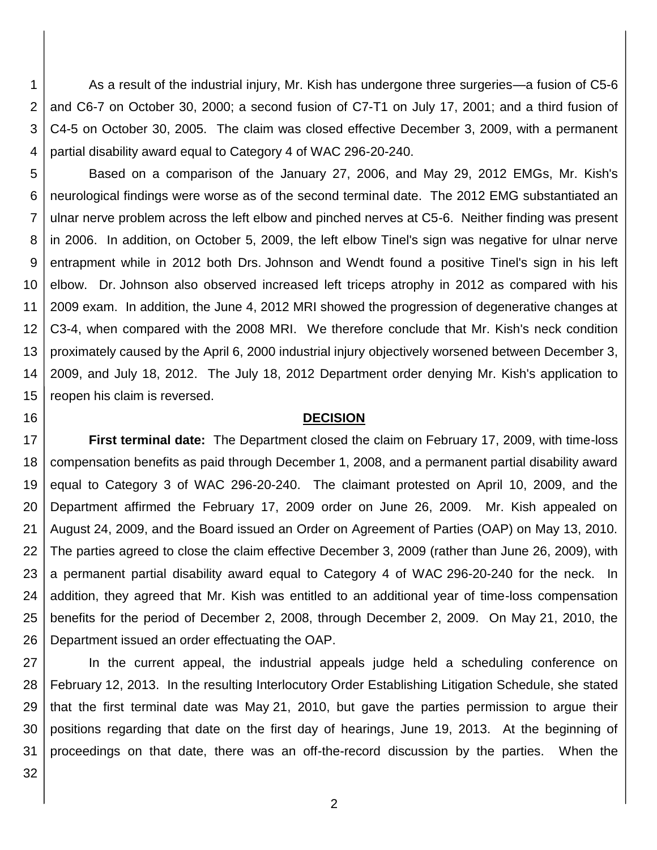1 2 3 4 As a result of the industrial injury, Mr. Kish has undergone three surgeries—a fusion of C5-6 and C6-7 on October 30, 2000; a second fusion of C7-T1 on July 17, 2001; and a third fusion of C4-5 on October 30, 2005. The claim was closed effective December 3, 2009, with a permanent partial disability award equal to Category 4 of WAC 296-20-240.

5 6 7 8 9 10 11 12 13 14 15 Based on a comparison of the January 27, 2006, and May 29, 2012 EMGs, Mr. Kish's neurological findings were worse as of the second terminal date. The 2012 EMG substantiated an ulnar nerve problem across the left elbow and pinched nerves at C5-6. Neither finding was present in 2006. In addition, on October 5, 2009, the left elbow Tinel's sign was negative for ulnar nerve entrapment while in 2012 both Drs. Johnson and Wendt found a positive Tinel's sign in his left elbow. Dr. Johnson also observed increased left triceps atrophy in 2012 as compared with his 2009 exam. In addition, the June 4, 2012 MRI showed the progression of degenerative changes at C3-4, when compared with the 2008 MRI. We therefore conclude that Mr. Kish's neck condition proximately caused by the April 6, 2000 industrial injury objectively worsened between December 3, 2009, and July 18, 2012. The July 18, 2012 Department order denying Mr. Kish's application to reopen his claim is reversed.

#### **DECISION**

17 18 19 20 21 22 23 24 25 26 **First terminal date:** The Department closed the claim on February 17, 2009, with time-loss compensation benefits as paid through December 1, 2008, and a permanent partial disability award equal to Category 3 of WAC 296-20-240. The claimant protested on April 10, 2009, and the Department affirmed the February 17, 2009 order on June 26, 2009. Mr. Kish appealed on August 24, 2009, and the Board issued an Order on Agreement of Parties (OAP) on May 13, 2010. The parties agreed to close the claim effective December 3, 2009 (rather than June 26, 2009), with a permanent partial disability award equal to Category 4 of WAC 296-20-240 for the neck. In addition, they agreed that Mr. Kish was entitled to an additional year of time-loss compensation benefits for the period of December 2, 2008, through December 2, 2009. On May 21, 2010, the Department issued an order effectuating the OAP.

27 28 29 30 31 In the current appeal, the industrial appeals judge held a scheduling conference on February 12, 2013. In the resulting Interlocutory Order Establishing Litigation Schedule, she stated that the first terminal date was May 21, 2010, but gave the parties permission to argue their positions regarding that date on the first day of hearings, June 19, 2013. At the beginning of proceedings on that date, there was an off-the-record discussion by the parties. When the

32

16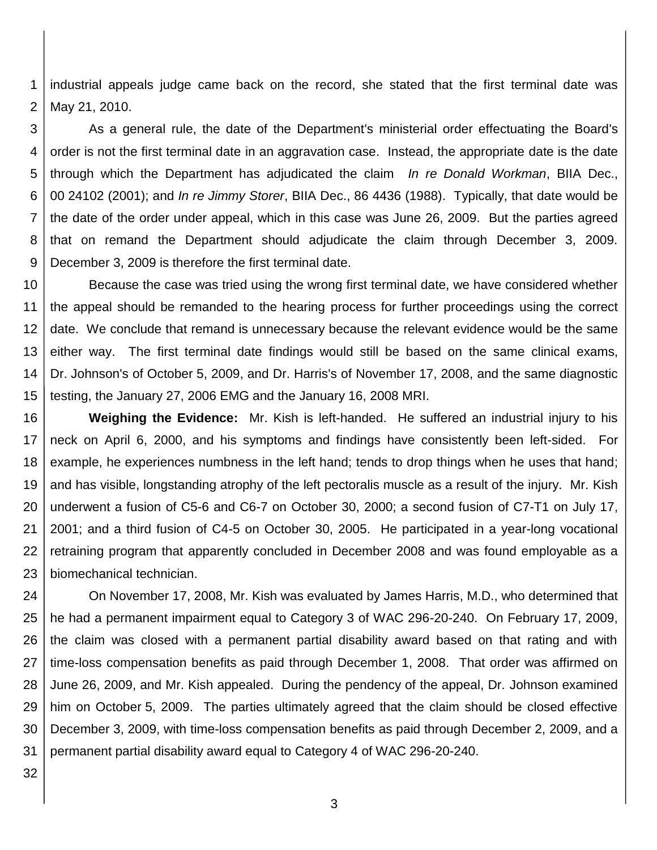1 2 industrial appeals judge came back on the record, she stated that the first terminal date was May 21, 2010.

3 4 5 6 7 8 9 As a general rule, the date of the Department's ministerial order effectuating the Board's order is not the first terminal date in an aggravation case. Instead, the appropriate date is the date through which the Department has adjudicated the claim *In re Donald Workman*, BIIA Dec., 00 24102 (2001); and *In re Jimmy Storer*, BIIA Dec., 86 4436 (1988). Typically, that date would be the date of the order under appeal, which in this case was June 26, 2009. But the parties agreed that on remand the Department should adjudicate the claim through December 3, 2009. December 3, 2009 is therefore the first terminal date.

10 11 12 13 14 15 Because the case was tried using the wrong first terminal date, we have considered whether the appeal should be remanded to the hearing process for further proceedings using the correct date. We conclude that remand is unnecessary because the relevant evidence would be the same either way. The first terminal date findings would still be based on the same clinical exams, Dr. Johnson's of October 5, 2009, and Dr. Harris's of November 17, 2008, and the same diagnostic testing, the January 27, 2006 EMG and the January 16, 2008 MRI.

16 17 18 19 20 21 22 23 **Weighing the Evidence:** Mr. Kish is left-handed. He suffered an industrial injury to his neck on April 6, 2000, and his symptoms and findings have consistently been left-sided. For example, he experiences numbness in the left hand; tends to drop things when he uses that hand; and has visible, longstanding atrophy of the left pectoralis muscle as a result of the injury. Mr. Kish underwent a fusion of C5-6 and C6-7 on October 30, 2000; a second fusion of C7-T1 on July 17, 2001; and a third fusion of C4-5 on October 30, 2005. He participated in a year-long vocational retraining program that apparently concluded in December 2008 and was found employable as a biomechanical technician.

24 25 26 27 28 29 30 31 On November 17, 2008, Mr. Kish was evaluated by James Harris, M.D., who determined that he had a permanent impairment equal to Category 3 of WAC 296-20-240. On February 17, 2009, the claim was closed with a permanent partial disability award based on that rating and with time-loss compensation benefits as paid through December 1, 2008. That order was affirmed on June 26, 2009, and Mr. Kish appealed. During the pendency of the appeal, Dr. Johnson examined him on October 5, 2009. The parties ultimately agreed that the claim should be closed effective December 3, 2009, with time-loss compensation benefits as paid through December 2, 2009, and a permanent partial disability award equal to Category 4 of WAC 296-20-240.

32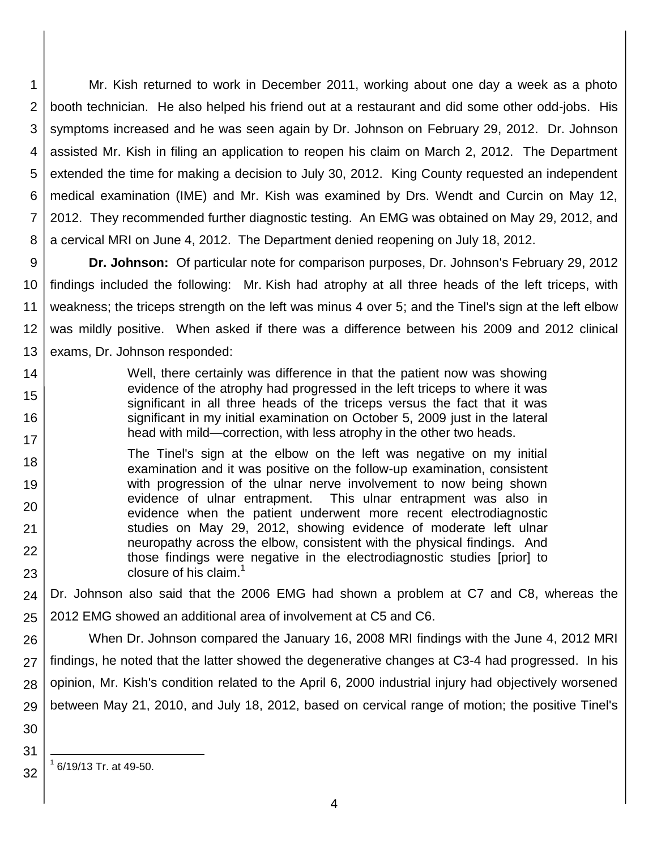1 2 3 4 5 6 7 8 Mr. Kish returned to work in December 2011, working about one day a week as a photo booth technician. He also helped his friend out at a restaurant and did some other odd-jobs. His symptoms increased and he was seen again by Dr. Johnson on February 29, 2012. Dr. Johnson assisted Mr. Kish in filing an application to reopen his claim on March 2, 2012. The Department extended the time for making a decision to July 30, 2012. King County requested an independent medical examination (IME) and Mr. Kish was examined by Drs. Wendt and Curcin on May 12, 2012. They recommended further diagnostic testing. An EMG was obtained on May 29, 2012, and a cervical MRI on June 4, 2012. The Department denied reopening on July 18, 2012.

9 10 11 12 13 **Dr. Johnson:** Of particular note for comparison purposes, Dr. Johnson's February 29, 2012 findings included the following: Mr. Kish had atrophy at all three heads of the left triceps, with weakness; the triceps strength on the left was minus 4 over 5; and the Tinel's sign at the left elbow was mildly positive. When asked if there was a difference between his 2009 and 2012 clinical exams, Dr. Johnson responded:

- 14 15 16 17 Well, there certainly was difference in that the patient now was showing evidence of the atrophy had progressed in the left triceps to where it was significant in all three heads of the triceps versus the fact that it was significant in my initial examination on October 5, 2009 just in the lateral head with mild—correction, with less atrophy in the other two heads.
- 18 19 20 21 22 23 The Tinel's sign at the elbow on the left was negative on my initial examination and it was positive on the follow-up examination, consistent with progression of the ulnar nerve involvement to now being shown evidence of ulnar entrapment. This ulnar entrapment was also in evidence when the patient underwent more recent electrodiagnostic studies on May 29, 2012, showing evidence of moderate left ulnar neuropathy across the elbow, consistent with the physical findings. And those findings were negative in the electrodiagnostic studies [prior] to closure of his claim.<sup>1</sup>

24 25 Dr. Johnson also said that the 2006 EMG had shown a problem at C7 and C8, whereas the 2012 EMG showed an additional area of involvement at C5 and C6.

26 27 28 29 When Dr. Johnson compared the January 16, 2008 MRI findings with the June 4, 2012 MRI findings, he noted that the latter showed the degenerative changes at C3-4 had progressed. In his opinion, Mr. Kish's condition related to the April 6, 2000 industrial injury had objectively worsened between May 21, 2010, and July 18, 2012, based on cervical range of motion; the positive Tinel's

30

31

32

l 1 6/19/13 Tr. at 49-50.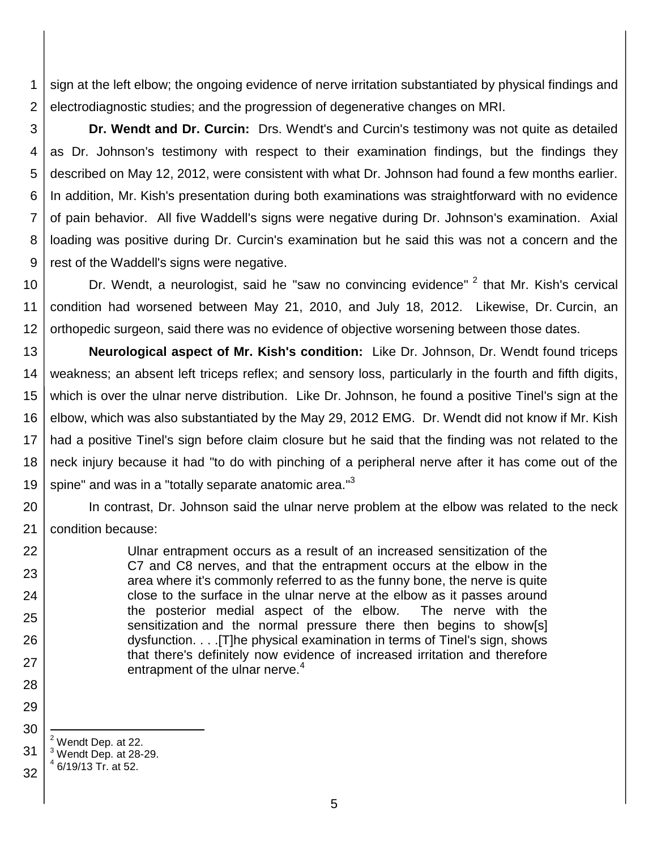1 2 sign at the left elbow; the ongoing evidence of nerve irritation substantiated by physical findings and electrodiagnostic studies; and the progression of degenerative changes on MRI.

3 4 5 6 7 8 9 **Dr. Wendt and Dr. Curcin:** Drs. Wendt's and Curcin's testimony was not quite as detailed as Dr. Johnson's testimony with respect to their examination findings, but the findings they described on May 12, 2012, were consistent with what Dr. Johnson had found a few months earlier. In addition, Mr. Kish's presentation during both examinations was straightforward with no evidence of pain behavior. All five Waddell's signs were negative during Dr. Johnson's examination. Axial loading was positive during Dr. Curcin's examination but he said this was not a concern and the rest of the Waddell's signs were negative.

10 11 12 Dr. Wendt, a neurologist, said he "saw no convincing evidence" <sup>2</sup> that Mr. Kish's cervical condition had worsened between May 21, 2010, and July 18, 2012. Likewise, Dr. Curcin, an orthopedic surgeon, said there was no evidence of objective worsening between those dates.

13 14 15 16 17 18 19 **Neurological aspect of Mr. Kish's condition:** Like Dr. Johnson, Dr. Wendt found triceps weakness; an absent left triceps reflex; and sensory loss, particularly in the fourth and fifth digits, which is over the ulnar nerve distribution. Like Dr. Johnson, he found a positive Tinel's sign at the elbow, which was also substantiated by the May 29, 2012 EMG. Dr. Wendt did not know if Mr. Kish had a positive Tinel's sign before claim closure but he said that the finding was not related to the neck injury because it had "to do with pinching of a peripheral nerve after it has come out of the spine" and was in a "totally separate anatomic area."<sup>3</sup>

20 21 In contrast, Dr. Johnson said the ulnar nerve problem at the elbow was related to the neck condition because:

> Ulnar entrapment occurs as a result of an increased sensitization of the C7 and C8 nerves, and that the entrapment occurs at the elbow in the area where it's commonly referred to as the funny bone, the nerve is quite close to the surface in the ulnar nerve at the elbow as it passes around the posterior medial aspect of the elbow. The nerve with the sensitization and the normal pressure there then begins to show[s] dysfunction. . . .[T]he physical examination in terms of Tinel's sign, shows that there's definitely now evidence of increased irritation and therefore entrapment of the ulnar nerve.<sup>4</sup>

 $<sup>2</sup>$  Wendt Dep. at 22.</sup>

22

23

24

25

26

27

28

29

30

l

<sup>31</sup>  $3$  Wendt Dep. at 28-29.

<sup>32</sup> 4 6/19/13 Tr. at 52.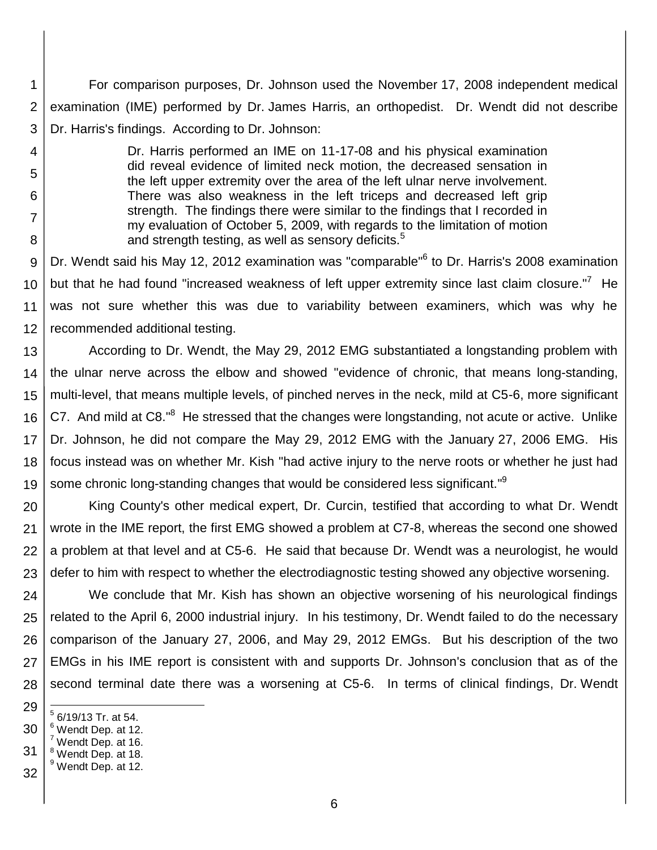1 2 3 For comparison purposes, Dr. Johnson used the November 17, 2008 independent medical examination (IME) performed by Dr. James Harris, an orthopedist. Dr. Wendt did not describe Dr. Harris's findings. According to Dr. Johnson:

- 4
- 5
- 6

7

8

Dr. Harris performed an IME on 11-17-08 and his physical examination did reveal evidence of limited neck motion, the decreased sensation in the left upper extremity over the area of the left ulnar nerve involvement. There was also weakness in the left triceps and decreased left grip strength. The findings there were similar to the findings that I recorded in my evaluation of October 5, 2009, with regards to the limitation of motion and strength testing, as well as sensory deficits. $5$ 

9 10 11 12 Dr. Wendt said his May 12, 2012 examination was "comparable"<sup>6</sup> to Dr. Harris's 2008 examination but that he had found "increased weakness of left upper extremity since last claim closure."<sup>7</sup> He was not sure whether this was due to variability between examiners, which was why he recommended additional testing.

13 14 15 16 17 18 19 According to Dr. Wendt, the May 29, 2012 EMG substantiated a longstanding problem with the ulnar nerve across the elbow and showed "evidence of chronic, that means long-standing, multi-level, that means multiple levels, of pinched nerves in the neck, mild at C5-6, more significant C7. And mild at C8."<sup>8</sup> He stressed that the changes were longstanding, not acute or active. Unlike Dr. Johnson, he did not compare the May 29, 2012 EMG with the January 27, 2006 EMG. His focus instead was on whether Mr. Kish "had active injury to the nerve roots or whether he just had some chronic long-standing changes that would be considered less significant."<sup>9</sup>

20 21 22 23 King County's other medical expert, Dr. Curcin, testified that according to what Dr. Wendt wrote in the IME report, the first EMG showed a problem at C7-8, whereas the second one showed a problem at that level and at C5-6. He said that because Dr. Wendt was a neurologist, he would defer to him with respect to whether the electrodiagnostic testing showed any objective worsening.

24 25 26 27 28 We conclude that Mr. Kish has shown an objective worsening of his neurological findings related to the April 6, 2000 industrial injury. In his testimony, Dr. Wendt failed to do the necessary comparison of the January 27, 2006, and May 29, 2012 EMGs. But his description of the two EMGs in his IME report is consistent with and supports Dr. Johnson's conclusion that as of the second terminal date there was a worsening at C5-6. In terms of clinical findings, Dr. Wendt

- 29 l  $<sup>5</sup>$  6/19/13 Tr. at 54.</sup>
- 30  $6$  Wendt Dep. at 12.
- 31  $<sup>7</sup>$  Wendt Dep. at 16.</sup>
- <sup>8</sup> Wendt Dep. at 18. <sup>9</sup> Wendt Dep. at 12.
- 32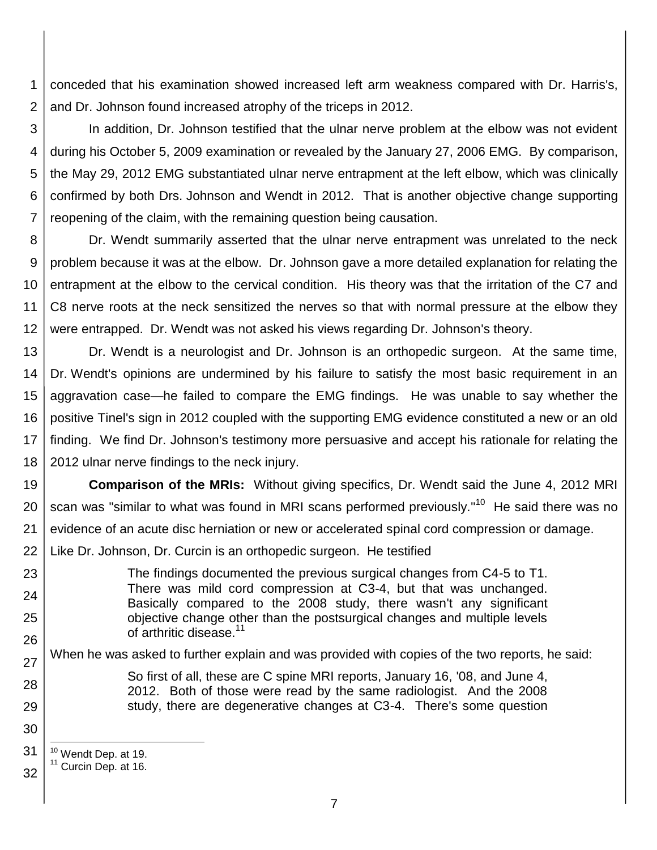1 2 conceded that his examination showed increased left arm weakness compared with Dr. Harris's, and Dr. Johnson found increased atrophy of the triceps in 2012.

3 4 5 6 7 In addition, Dr. Johnson testified that the ulnar nerve problem at the elbow was not evident during his October 5, 2009 examination or revealed by the January 27, 2006 EMG. By comparison, the May 29, 2012 EMG substantiated ulnar nerve entrapment at the left elbow, which was clinically confirmed by both Drs. Johnson and Wendt in 2012. That is another objective change supporting reopening of the claim, with the remaining question being causation.

8 9 10 11 12 Dr. Wendt summarily asserted that the ulnar nerve entrapment was unrelated to the neck problem because it was at the elbow. Dr. Johnson gave a more detailed explanation for relating the entrapment at the elbow to the cervical condition. His theory was that the irritation of the C7 and C8 nerve roots at the neck sensitized the nerves so that with normal pressure at the elbow they were entrapped. Dr. Wendt was not asked his views regarding Dr. Johnson's theory.

13 14 15 16 17 18 Dr. Wendt is a neurologist and Dr. Johnson is an orthopedic surgeon. At the same time, Dr. Wendt's opinions are undermined by his failure to satisfy the most basic requirement in an aggravation case—he failed to compare the EMG findings. He was unable to say whether the positive Tinel's sign in 2012 coupled with the supporting EMG evidence constituted a new or an old finding. We find Dr. Johnson's testimony more persuasive and accept his rationale for relating the 2012 ulnar nerve findings to the neck injury.

19 20 21 22 **Comparison of the MRIs:** Without giving specifics, Dr. Wendt said the June 4, 2012 MRI scan was "similar to what was found in MRI scans performed previously."<sup>10</sup> He said there was no evidence of an acute disc herniation or new or accelerated spinal cord compression or damage. Like Dr. Johnson, Dr. Curcin is an orthopedic surgeon. He testified

The findings documented the previous surgical changes from C4-5 to T1. There was mild cord compression at C3-4, but that was unchanged. Basically compared to the 2008 study, there wasn't any significant objective change other than the postsurgical changes and multiple levels of arthritic disease.<sup>11</sup>

27 When he was asked to further explain and was provided with copies of the two reports, he said:

> So first of all, these are C spine MRI reports, January 16, '08, and June 4, 2012. Both of those were read by the same radiologist. And the 2008 study, there are degenerative changes at C3-4. There's some question

31 <sup>10</sup> Wendt Dep. at 19.

23

24

25

26

28

29

30

l

32 <sup>11</sup> Curcin Dep. at 16.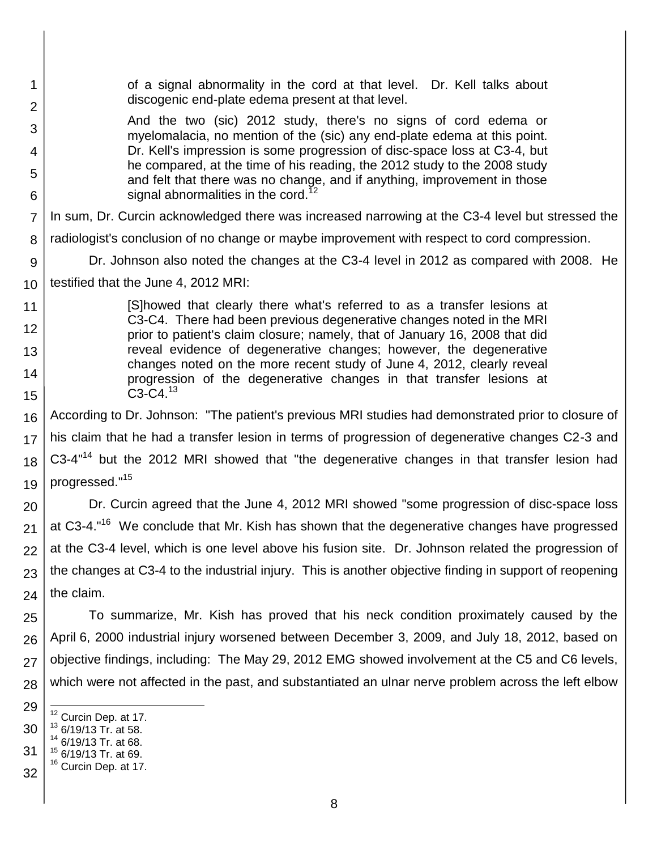| 1<br>$\overline{2}$ | of a signal abnormality in the cord at that level. Dr. Kell talks about<br>discogenic end-plate edema present at that level.                          |  |  |
|---------------------|-------------------------------------------------------------------------------------------------------------------------------------------------------|--|--|
| 3                   | And the two (sic) 2012 study, there's no signs of cord edema or                                                                                       |  |  |
| 4                   | myelomalacia, no mention of the (sic) any end-plate edema at this point.<br>Dr. Kell's impression is some progression of disc-space loss at C3-4, but |  |  |
| 5                   | he compared, at the time of his reading, the 2012 study to the 2008 study                                                                             |  |  |
| 6                   | and felt that there was no change, and if anything, improvement in those<br>signal abnormalities in the cord. <sup>12</sup>                           |  |  |
| 7                   | In sum, Dr. Curcin acknowledged there was increased narrowing at the C3-4 level but stressed the                                                      |  |  |
| 8                   | radiologist's conclusion of no change or maybe improvement with respect to cord compression.                                                          |  |  |
| 9                   | Dr. Johnson also noted the changes at the C3-4 level in 2012 as compared with 2008. He                                                                |  |  |
| 10                  | testified that the June 4, 2012 MRI:                                                                                                                  |  |  |
| 11                  | [S] howed that clearly there what's referred to as a transfer lesions at                                                                              |  |  |
| 12                  | C3-C4. There had been previous degenerative changes noted in the MRI<br>prior to patient's claim closure; namely, that of January 16, 2008 that did   |  |  |
| 13                  | reveal evidence of degenerative changes; however, the degenerative<br>changes noted on the more recent study of June 4, 2012, clearly reveal          |  |  |
| 14                  | progression of the degenerative changes in that transfer lesions at                                                                                   |  |  |
| 15                  | $C3-C4.13$                                                                                                                                            |  |  |
| 16                  | According to Dr. Johnson: "The patient's previous MRI studies had demonstrated prior to closure of                                                    |  |  |
| 17                  | his claim that he had a transfer lesion in terms of progression of degenerative changes C2-3 and                                                      |  |  |
| 18                  | C3-4 <sup>"14</sup> but the 2012 MRI showed that "the degenerative changes in that transfer lesion had                                                |  |  |
| 19                  | progressed." <sup>15</sup>                                                                                                                            |  |  |
| 20                  | Dr. Curcin agreed that the June 4, 2012 MRI showed "some progression of disc-space loss                                                               |  |  |
| 21                  | at C3-4." <sup>16</sup> We conclude that Mr. Kish has shown that the degenerative changes have progressed                                             |  |  |
| 22                  | at the C3-4 level, which is one level above his fusion site. Dr. Johnson related the progression of                                                   |  |  |
| 23                  | the changes at C3-4 to the industrial injury. This is another objective finding in support of reopening                                               |  |  |
| 24                  | the claim.                                                                                                                                            |  |  |
| 25                  | To summarize, Mr. Kish has proved that his neck condition proximately caused by the                                                                   |  |  |
| 26                  | April 6, 2000 industrial injury worsened between December 3, 2009, and July 18, 2012, based on                                                        |  |  |
| 27                  | objective findings, including: The May 29, 2012 EMG showed involvement at the C5 and C6 levels,                                                       |  |  |
| 28                  | which were not affected in the past, and substantiated an ulnar nerve problem across the left elbow                                                   |  |  |
| 29                  |                                                                                                                                                       |  |  |
| 30                  | <sup>12</sup> Curcin Dep. at 17.<br>$13$ 6/19/13 Tr. at 58.                                                                                           |  |  |
| 31                  | $14$ 6/19/13 Tr. at 68.<br><sup>15</sup> 6/19/13 Tr. at 69.                                                                                           |  |  |
| 32                  | <sup>16</sup> Curcin Dep. at 17.                                                                                                                      |  |  |
|                     |                                                                                                                                                       |  |  |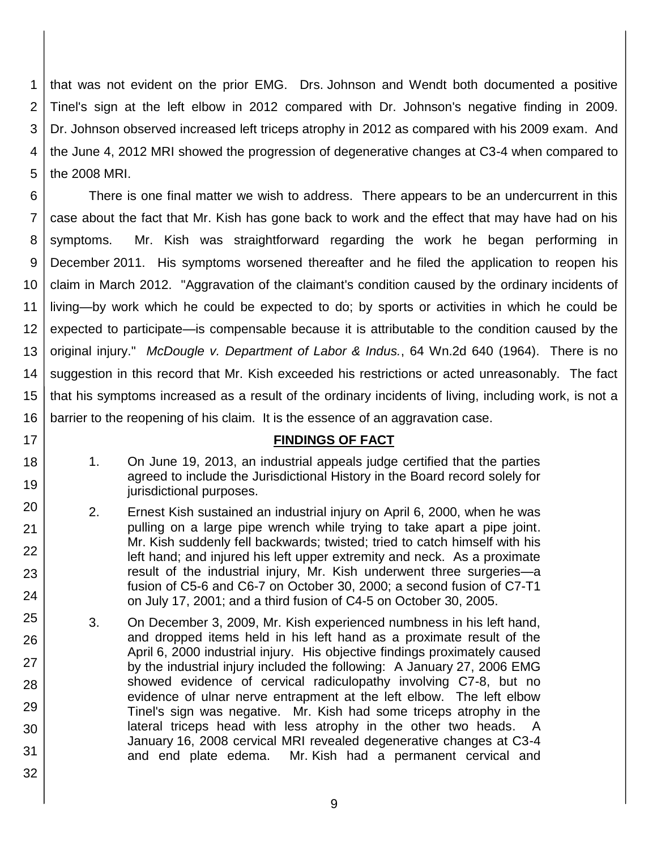1 2 3 4 5 that was not evident on the prior EMG. Drs. Johnson and Wendt both documented a positive Tinel's sign at the left elbow in 2012 compared with Dr. Johnson's negative finding in 2009. Dr. Johnson observed increased left triceps atrophy in 2012 as compared with his 2009 exam. And the June 4, 2012 MRI showed the progression of degenerative changes at C3-4 when compared to the 2008 MRI.

6 7 8 9 10 11 12 13 14 15 16 There is one final matter we wish to address. There appears to be an undercurrent in this case about the fact that Mr. Kish has gone back to work and the effect that may have had on his symptoms. Mr. Kish was straightforward regarding the work he began performing in December 2011. His symptoms worsened thereafter and he filed the application to reopen his claim in March 2012. "Aggravation of the claimant's condition caused by the ordinary incidents of living—by work which he could be expected to do; by sports or activities in which he could be expected to participate—is compensable because it is attributable to the condition caused by the original injury." *McDougle v. Department of Labor & Indus.*, 64 Wn.2d 640 (1964). There is no suggestion in this record that Mr. Kish exceeded his restrictions or acted unreasonably. The fact that his symptoms increased as a result of the ordinary incidents of living, including work, is not a barrier to the reopening of his claim. It is the essence of an aggravation case.

#### **FINDINGS OF FACT**

1. On June 19, 2013, an industrial appeals judge certified that the parties agreed to include the Jurisdictional History in the Board record solely for jurisdictional purposes.

17

18

19

20

21

22

23

24

25

26

27

28

29

30

31

- 2. Ernest Kish sustained an industrial injury on April 6, 2000, when he was pulling on a large pipe wrench while trying to take apart a pipe joint. Mr. Kish suddenly fell backwards; twisted; tried to catch himself with his left hand; and injured his left upper extremity and neck. As a proximate result of the industrial injury, Mr. Kish underwent three surgeries—a fusion of C5-6 and C6-7 on October 30, 2000; a second fusion of C7-T1 on July 17, 2001; and a third fusion of C4-5 on October 30, 2005.
- 3. On December 3, 2009, Mr. Kish experienced numbness in his left hand, and dropped items held in his left hand as a proximate result of the April 6, 2000 industrial injury. His objective findings proximately caused by the industrial injury included the following: A January 27, 2006 EMG showed evidence of cervical radiculopathy involving C7-8, but no evidence of ulnar nerve entrapment at the left elbow. The left elbow Tinel's sign was negative. Mr. Kish had some triceps atrophy in the lateral triceps head with less atrophy in the other two heads. A January 16, 2008 cervical MRI revealed degenerative changes at C3-4 and end plate edema. Mr. Kish had a permanent cervical and
	- 9